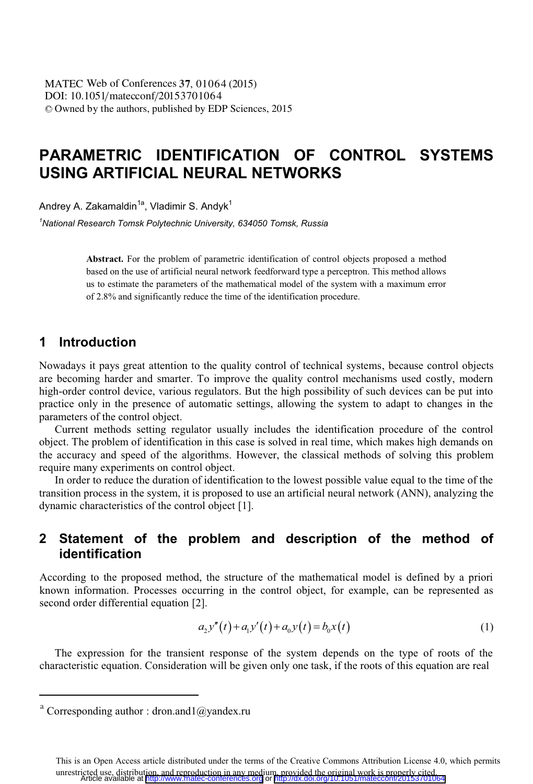# **PARAMETRIC IDENTIFICATION OF CONTROL SYSTEMS USING ARTIFICIAL NEURAL NETWORKS**

Andrey A. Zakamaldin<sup>1a</sup>, Vladimir S. Andyk<sup>1</sup>

*1 National Research Tomsk Polytechnic University, 634050 Tomsk, Russia* 

**Abstract.** For the problem of parametric identification of control objects proposed a method based on the use of artificial neural network feedforward type a perceptron. This method allows us to estimate the parameters of the mathematical model of the system with a maximum error of 2.8% and significantly reduce the time of the identification procedure.

### **1 Introduction**

Nowadays it pays great attention to the quality control of technical systems, because control objects are becoming harder and smarter. To improve the quality control mechanisms used costly, modern high-order control device, various regulators. But the high possibility of such devices can be put into practice only in the presence of automatic settings, allowing the system to adapt to changes in the parameters of the control object.

Current methods setting regulator usually includes the identification procedure of the control object. The problem of identification in this case is solved in real time, which makes high demands on the accuracy and speed of the algorithms. However, the classical methods of solving this problem require many experiments on control object.

In order to reduce the duration of identification to the lowest possible value equal to the time of the transition process in the system, it is proposed to use an artificial neural network (ANN), analyzing the dynamic characteristics of the control object [1].

## **2 Statement of the problem and description of the method of identification**

According to the proposed method, the structure of the mathematical model is defined by a priori known information. Processes occurring in the control object, for example, can be represented as second order differential equation [2].

$$
a_2 y''(t) + a_1 y'(t) + a_0 y(t) = b_0 x(t)
$$
\n(1)

The expression for the transient response of the system depends on the type of roots of the characteristic equation. Consideration will be given only one task, if the roots of this equation are real

 $\overline{a}$ 

<sup>&</sup>lt;sup>a</sup> Corresponding author : dron.and1@yandex.ru

This is an Open Access article distributed under the terms of the Creative Commons Attribution License 4.0, which permits unrestricted use, distribution, and reproduction in any medium, provided the original work is properly cited.<br>Article available at <http://www.matec-conferences.org> or <http://dx.doi.org/10.1051/matecconf/20153701064>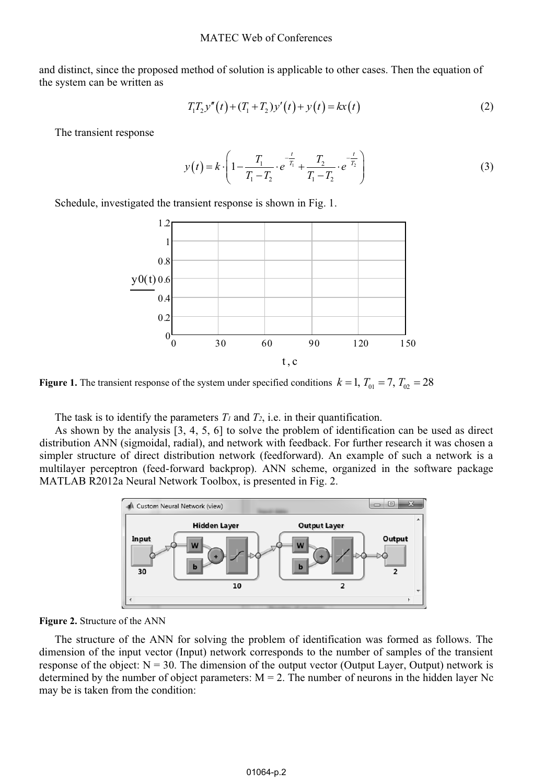and distinct, since the proposed method of solution is applicable to other cases. Then the equation of the system can be written as

$$
T_1 T_2 y''(t) + (T_1 + T_2) y'(t) + y(t) = kx(t)
$$
\n(2)

The transient response

$$
y(t) = k \cdot \left( 1 - \frac{T_1}{T_1 - T_2} \cdot e^{-\frac{t}{T_1}} + \frac{T_2}{T_1 - T_2} \cdot e^{-\frac{t}{T_2}} \right)
$$
 (3)

Schedule, investigated the transient response is shown in Fig. 1.



**Figure 1.** The transient response of the system under specified conditions  $k = 1$ ,  $T_{01} = 7$ ,  $T_{02} = 28$ 

The task is to identify the parameters  $T_1$  and  $T_2$ , i.e. in their quantification.

As shown by the analysis [3, 4, 5, 6] to solve the problem of identification can be used as direct distribution ANN (sigmoidal, radial), and network with feedback. For further research it was chosen a simpler structure of direct distribution network (feedforward). An example of such a network is a multilayer perceptron (feed-forward backprop). ANN scheme, organized in the software package MATLAB R2012a Neural Network Toolbox, is presented in Fig. 2.



**Figure 2.** Structure of the ANN

The structure of the ANN for solving the problem of identification was formed as follows. The dimension of the input vector (Input) network corresponds to the number of samples of the transient response of the object:  $N = 30$ . The dimension of the output vector (Output Layer, Output) network is determined by the number of object parameters:  $M = 2$ . The number of neurons in the hidden layer Nc may be is taken from the condition: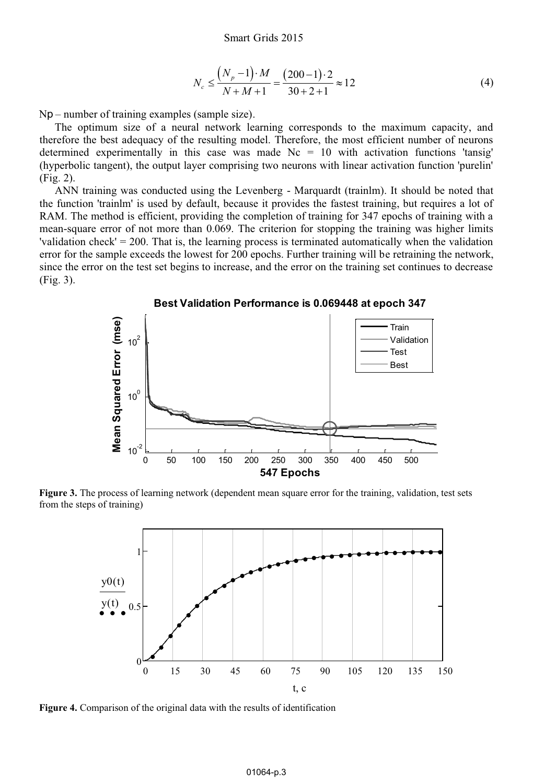$$
N_c \le \frac{\left(N_p - 1\right) \cdot M}{N + M + 1} = \frac{(200 - 1) \cdot 2}{30 + 2 + 1} \approx 12\tag{4}
$$

Nр – number of training examples (sample size).

The optimum size of a neural network learning corresponds to the maximum capacity, and therefore the best adequacy of the resulting model. Therefore, the most efficient number of neurons determined experimentally in this case was made  $Nc = 10$  with activation functions 'tansig' (hyperbolic tangent), the output layer comprising two neurons with linear activation function 'purelin' (Fig. 2).

ANN training was conducted using the Levenberg - Marquardt (trainlm). It should be noted that the function 'trainlm' is used by default, because it provides the fastest training, but requires a lot of RAM. The method is efficient, providing the completion of training for 347 epochs of training with a mean-square error of not more than 0.069. The criterion for stopping the training was higher limits 'validation check' = 200. That is, the learning process is terminated automatically when the validation error for the sample exceeds the lowest for 200 epochs. Further training will be retraining the network, since the error on the test set begins to increase, and the error on the training set continues to decrease (Fig. 3).



**Figure 3.** The process of learning network (dependent mean square error for the training, validation, test sets from the steps of training)



**Figure 4.** Comparison of the original data with the results of identification